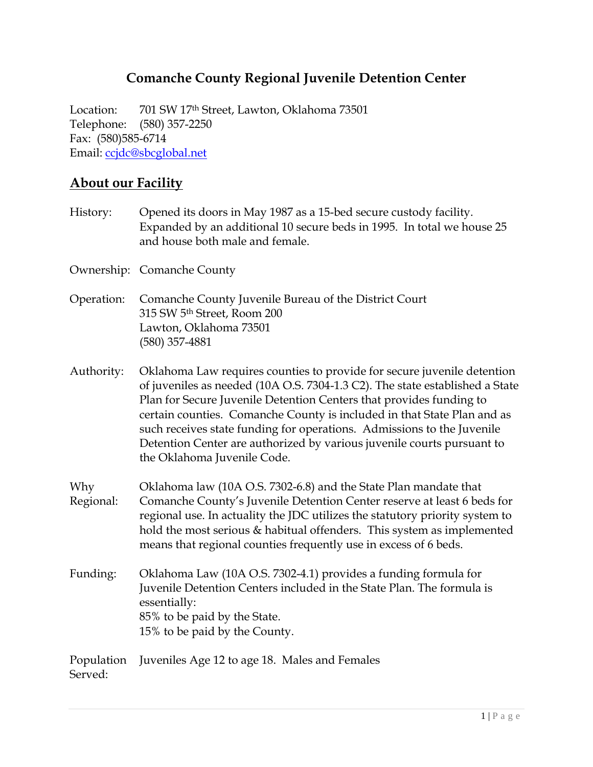# **Comanche County Regional Juvenile Detention Center**

Location: 701 SW 17th Street, Lawton, Oklahoma 73501 Telephone: (580) 357-2250 Fax: (580)585-6714 Email: [ccjdc@sbcglobal.net](mailto:ccjdc@sbcglobal.net)

## **About our Facility**

| History:              | Opened its doors in May 1987 as a 15-bed secure custody facility.<br>Expanded by an additional 10 secure beds in 1995. In total we house 25<br>and house both male and female.                                                                                                                                                                                                                                                                                                               |
|-----------------------|----------------------------------------------------------------------------------------------------------------------------------------------------------------------------------------------------------------------------------------------------------------------------------------------------------------------------------------------------------------------------------------------------------------------------------------------------------------------------------------------|
|                       | Ownership: Comanche County                                                                                                                                                                                                                                                                                                                                                                                                                                                                   |
| Operation:            | Comanche County Juvenile Bureau of the District Court<br>315 SW 5th Street, Room 200<br>Lawton, Oklahoma 73501<br>$(580)$ 357-4881                                                                                                                                                                                                                                                                                                                                                           |
| Authority:            | Oklahoma Law requires counties to provide for secure juvenile detention<br>of juveniles as needed (10A O.S. 7304-1.3 C2). The state established a State<br>Plan for Secure Juvenile Detention Centers that provides funding to<br>certain counties. Comanche County is included in that State Plan and as<br>such receives state funding for operations. Admissions to the Juvenile<br>Detention Center are authorized by various juvenile courts pursuant to<br>the Oklahoma Juvenile Code. |
| Why<br>Regional:      | Oklahoma law (10A O.S. 7302-6.8) and the State Plan mandate that<br>Comanche County's Juvenile Detention Center reserve at least 6 beds for<br>regional use. In actuality the JDC utilizes the statutory priority system to<br>hold the most serious & habitual offenders. This system as implemented<br>means that regional counties frequently use in excess of 6 beds.                                                                                                                    |
| Funding:              | Oklahoma Law (10A O.S. 7302-4.1) provides a funding formula for<br>Juvenile Detention Centers included in the State Plan. The formula is<br>essentially:<br>85% to be paid by the State.<br>15% to be paid by the County.                                                                                                                                                                                                                                                                    |
| Population<br>Served: | Juveniles Age 12 to age 18. Males and Females                                                                                                                                                                                                                                                                                                                                                                                                                                                |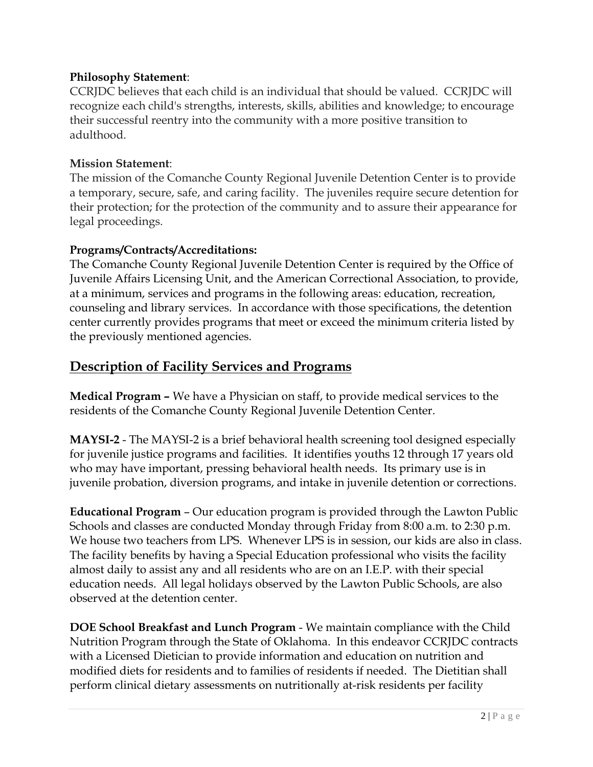#### **Philosophy Statement**:

CCRJDC believes that each child is an individual that should be valued. CCRJDC will recognize each child's strengths, interests, skills, abilities and knowledge; to encourage their successful reentry into the community with a more positive transition to adulthood.

#### **Mission Statement**:

The mission of the Comanche County Regional Juvenile Detention Center is to provide a temporary, secure, safe, and caring facility. The juveniles require secure detention for their protection; for the protection of the community and to assure their appearance for legal proceedings.

#### **Programs/Contracts/Accreditations:**

The Comanche County Regional Juvenile Detention Center is required by the Office of Juvenile Affairs Licensing Unit, and the American Correctional Association, to provide, at a minimum, services and programs in the following areas: education, recreation, counseling and library services. In accordance with those specifications, the detention center currently provides programs that meet or exceed the minimum criteria listed by the previously mentioned agencies.

## **Description of Facility Services and Programs**

**Medical Program –** We have a Physician on staff, to provide medical services to the residents of the Comanche County Regional Juvenile Detention Center.

**MAYSI-2** - The MAYSI-2 is a brief behavioral health screening tool designed especially for juvenile justice programs and facilities. It identifies youths 12 through 17 years old who may have important, pressing behavioral health needs. Its primary use is in juvenile probation, diversion programs, and intake in juvenile detention or corrections.

**Educational Program** – Our education program is provided through the Lawton Public Schools and classes are conducted Monday through Friday from 8:00 a.m. to 2:30 p.m. We house two teachers from LPS. Whenever LPS is in session, our kids are also in class. The facility benefits by having a Special Education professional who visits the facility almost daily to assist any and all residents who are on an I.E.P. with their special education needs. All legal holidays observed by the Lawton Public Schools, are also observed at the detention center.

**DOE School Breakfast and Lunch Program** - We maintain compliance with the Child Nutrition Program through the State of Oklahoma. In this endeavor CCRJDC contracts with a Licensed Dietician to provide information and education on nutrition and modified diets for residents and to families of residents if needed. The Dietitian shall perform clinical dietary assessments on nutritionally at-risk residents per facility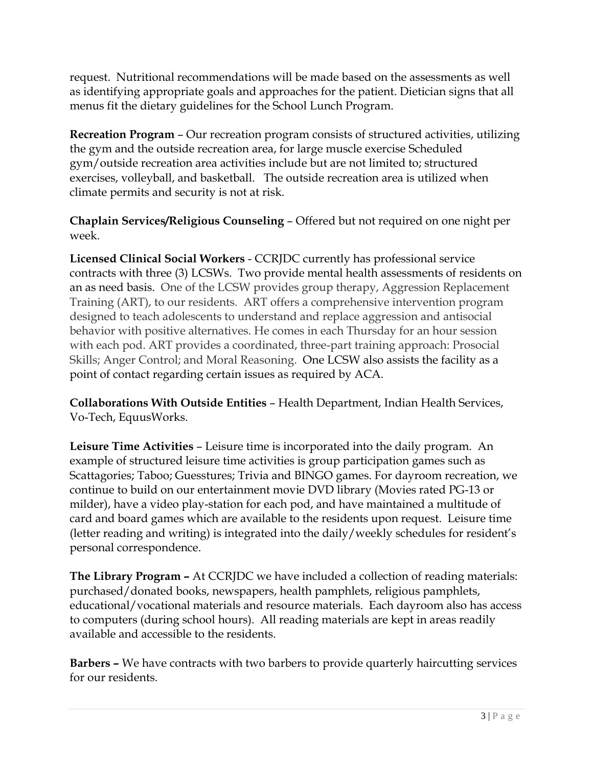request. Nutritional recommendations will be made based on the assessments as well as identifying appropriate goals and approaches for the patient. Dietician signs that all menus fit the dietary guidelines for the School Lunch Program.

**Recreation Program** – Our recreation program consists of structured activities, utilizing the gym and the outside recreation area, for large muscle exercise Scheduled gym/outside recreation area activities include but are not limited to; structured exercises, volleyball, and basketball. The outside recreation area is utilized when climate permits and security is not at risk.

**Chaplain Services/Religious Counseling** – Offered but not required on one night per week.

**Licensed Clinical Social Workers** - CCRJDC currently has professional service contracts with three (3) LCSWs. Two provide mental health assessments of residents on an as need basis. One of the LCSW provides group therapy, Aggression Replacement Training (ART), to our residents. ART offers a comprehensive intervention program designed to teach adolescents to understand and replace aggression and antisocial behavior with positive alternatives. He comes in each Thursday for an hour session with each pod. ART provides a coordinated, three-part training approach: Prosocial Skills; Anger Control; and Moral Reasoning. One LCSW also assists the facility as a point of contact regarding certain issues as required by ACA.

**Collaborations With Outside Entities** – Health Department, Indian Health Services, Vo-Tech, EquusWorks.

**Leisure Time Activities** – Leisure time is incorporated into the daily program. An example of structured leisure time activities is group participation games such as Scattagories; Taboo; Guesstures; Trivia and BINGO games. For dayroom recreation, we continue to build on our entertainment movie DVD library (Movies rated PG-13 or milder), have a video play-station for each pod, and have maintained a multitude of card and board games which are available to the residents upon request. Leisure time (letter reading and writing) is integrated into the daily/weekly schedules for resident's personal correspondence.

**The Library Program –** At CCRJDC we have included a collection of reading materials: purchased/donated books, newspapers, health pamphlets, religious pamphlets, educational/vocational materials and resource materials. Each dayroom also has access to computers (during school hours). All reading materials are kept in areas readily available and accessible to the residents.

**Barbers –** We have contracts with two barbers to provide quarterly haircutting services for our residents.